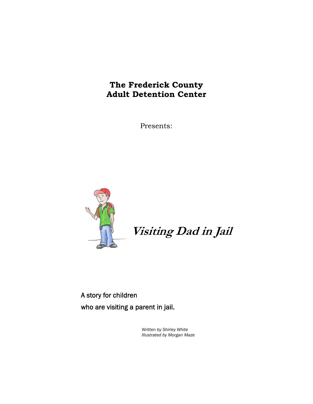# **The Frederick County Adult Detention Center**

Presents:



**Visiting Dad in Jail** 

A story for children who are visiting a parent in jail.

> *Written by Shirley White Illustrated by Morgan Maze*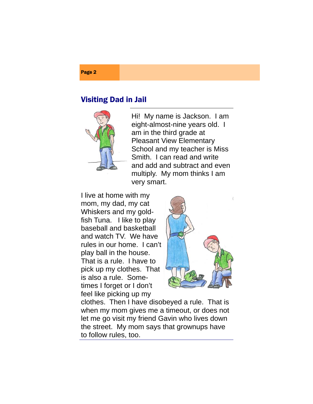### Page 2

### Visiting Dad in Jail



Hi! My name is Jackson. I am eight-almost-nine years old. I am in the third grade at Pleasant View Elementary School and my teacher is Miss Smith. I can read and write and add and subtract and even multiply. My mom thinks I am very smart.

I live at home with my mom, my dad, my cat Whiskers and my goldfish Tuna. I like to play baseball and basketball and watch TV. We have rules in our home. I can't play ball in the house. That is a rule. I have to pick up my clothes. That is also a rule. Sometimes I forget or I don't feel like picking up my



clothes. Then I have disobeyed a rule. That is when my mom gives me a timeout, or does not let me go visit my friend Gavin who lives down the street. My mom says that grownups have to follow rules, too.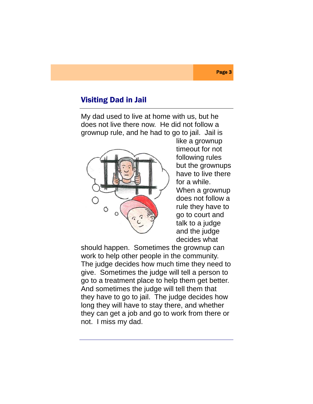My dad used to live at home with us, but he does not live there now. He did not follow a grownup rule, and he had to go to jail. Jail is



like a grownup timeout for not following rules but the grownups have to live there for a while. When a grownup does not follow a rule they have to go to court and talk to a judge and the judge decides what

should happen. Sometimes the grownup can work to help other people in the community. The judge decides how much time they need to give. Sometimes the judge will tell a person to go to a treatment place to help them get better. And sometimes the judge will tell them that they have to go to jail. The judge decides how long they will have to stay there, and whether they can get a job and go to work from there or not. I miss my dad.

#### Page 3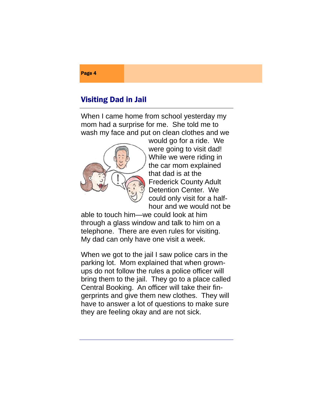Page 4

When I came home from school yesterday my mom had a surprise for me. She told me to wash my face and put on clean clothes and we



would go for a ride. We were going to visit dad! While we were riding in the car mom explained that dad is at the Frederick County Adult Detention Center. We could only visit for a halfhour and we would not be

able to touch him—we could look at him through a glass window and talk to him on a telephone. There are even rules for visiting. My dad can only have one visit a week.

When we got to the jail I saw police cars in the parking lot. Mom explained that when grownups do not follow the rules a police officer will bring them to the jail. They go to a place called Central Booking. An officer will take their fingerprints and give them new clothes. They will have to answer a lot of questions to make sure they are feeling okay and are not sick.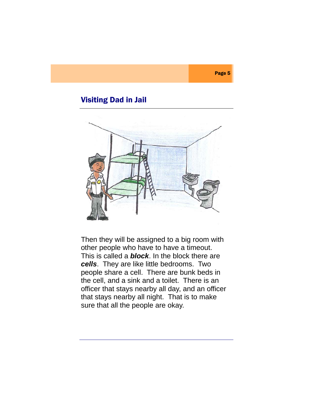

Then they will be assigned to a big room with other people who have to have a timeout. This is called a *block*. In the block there are *cells*. They are like little bedrooms. Two people share a cell. There are bunk beds in the cell, and a sink and a toilet. There is an officer that stays nearby all day, and an officer that stays nearby all night. That is to make sure that all the people are okay.

#### Page 5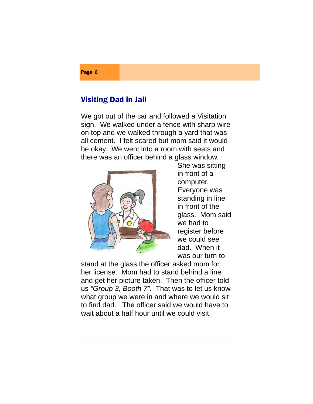# Page 6

### Visiting Dad in Jail

We got out of the car and followed a Visitation sign. We walked under a fence with sharp wire on top and we walked through a yard that was all cement. I felt scared but mom said it would be okay. We went into a room with seats and there was an officer behind a glass window.



She was sitting in front of a computer. Everyone was standing in line in front of the glass. Mom said we had to register before we could see dad. When it was our turn to

stand at the glass the officer asked mom for her license. Mom had to stand behind a line and get her picture taken. Then the officer told us *"Group 3, Booth 7".* That was to let us know what group we were in and where we would sit to find dad. The officer said we would have to wait about a half hour until we could visit.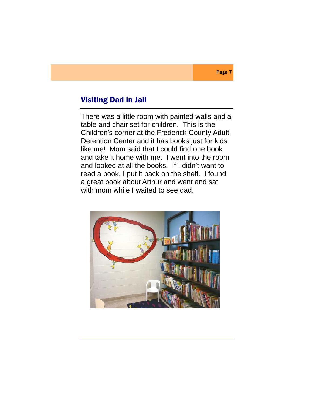There was a little room with painted walls and a table and chair set for children. This is the Children's corner at the Frederick County Adult Detention Center and it has books just for kids like me! Mom said that I could find one book and take it home with me. I went into the room and looked at all the books. If I didn't want to read a book, I put it back on the shelf. I found a great book about Arthur and went and sat with mom while I waited to see dad.



#### Page 7